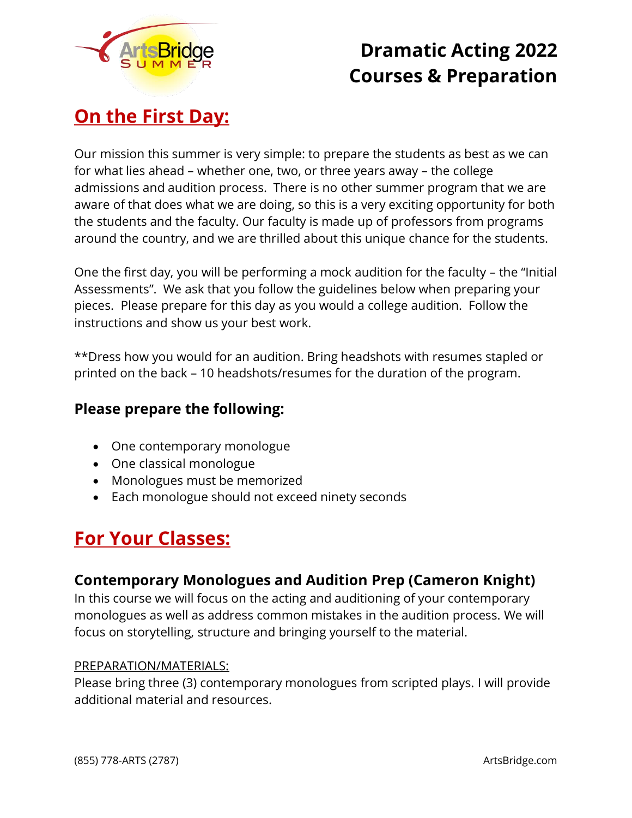

# **Dramatic Acting 2022 Courses & Preparation**

# **On the First Day:**

Our mission this summer is very simple: to prepare the students as best as we can for what lies ahead – whether one, two, or three years away – the college admissions and audition process. There is no other summer program that we are aware of that does what we are doing, so this is a very exciting opportunity for both the students and the faculty. Our faculty is made up of professors from programs around the country, and we are thrilled about this unique chance for the students.

One the first day, you will be performing a mock audition for the faculty – the "Initial Assessments". We ask that you follow the guidelines below when preparing your pieces. Please prepare for this day as you would a college audition. Follow the instructions and show us your best work.

\*\*Dress how you would for an audition. Bring headshots with resumes stapled or printed on the back – 10 headshots/resumes for the duration of the program.

### **Please prepare the following:**

- One contemporary monologue
- One classical monologue
- Monologues must be memorized
- Each monologue should not exceed ninety seconds

# **For Your Classes:**

### **Contemporary Monologues and Audition Prep (Cameron Knight)**

In this course we will focus on the acting and auditioning of your contemporary monologues as well as address common mistakes in the audition process. We will focus on storytelling, structure and bringing yourself to the material.

### PREPARATION/MATERIALS:

Please bring three (3) contemporary monologues from scripted plays. I will provide additional material and resources.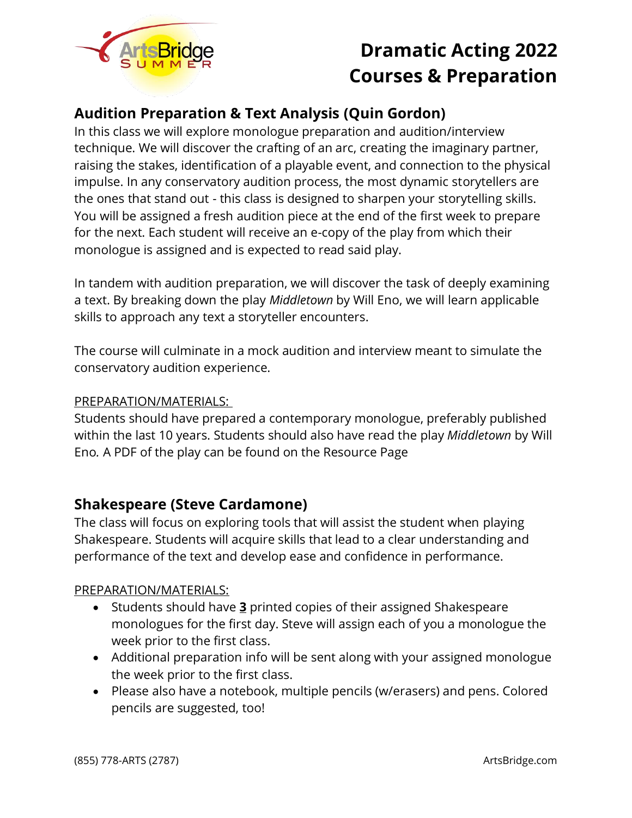

# **Dramatic Acting 2022 Courses & Preparation**

## **Audition Preparation & Text Analysis (Quin Gordon)**

In this class we will explore monologue preparation and audition/interview technique. We will discover the crafting of an arc, creating the imaginary partner, raising the stakes, identification of a playable event, and connection to the physical impulse. In any conservatory audition process, the most dynamic storytellers are the ones that stand out - this class is designed to sharpen your storytelling skills. You will be assigned a fresh audition piece at the end of the first week to prepare for the next. Each student will receive an e-copy of the play from which their monologue is assigned and is expected to read said play.

In tandem with audition preparation, we will discover the task of deeply examining a text. By breaking down the play *Middletown* by Will Eno, we will learn applicable skills to approach any text a storyteller encounters.

The course will culminate in a mock audition and interview meant to simulate the conservatory audition experience.

#### PREPARATION/MATERIALS:

Students should have prepared a contemporary monologue, preferably published within the last 10 years. Students should also have read the play *Middletown* by Will Eno*.* A PDF of the play can be found on the Resource Page

### **Shakespeare (Steve Cardamone)**

The class will focus on exploring tools that will assist the student when playing Shakespeare. Students will acquire skills that lead to a clear understanding and performance of the text and develop ease and confidence in performance.

#### PREPARATION/MATERIALS:

- Students should have **3** printed copies of their assigned Shakespeare monologues for the first day. Steve will assign each of you a monologue the week prior to the first class.
- Additional preparation info will be sent along with your assigned monologue the week prior to the first class.
- Please also have a notebook, multiple pencils (w/erasers) and pens. Colored pencils are suggested, too!